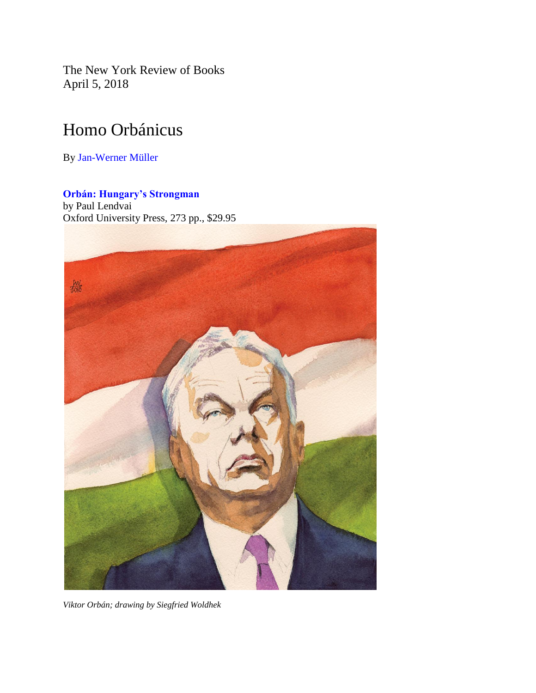The New York Review of Books April 5, 2018

## Homo Orbánicus

By [Jan-Werner Müller](http://www.nybooks.com/contributors/jan-werner-muller/)

## **[Orbán: Hungary's Strongman](https://www.amazon.com/gp/product/0190874864?ie=UTF8&tag=thneyoreofbo-20&linkCode=as2&camp=1789&creative=9325&creativeASIN=0190874864)**

by Paul Lendvai Oxford University Press, 273 pp., \$29.95



*Viktor Orbán; drawing by Siegfried Woldhek*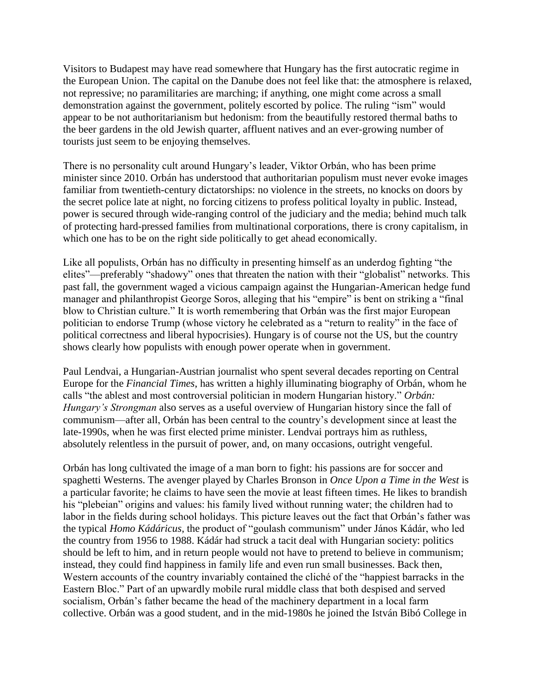Visitors to Budapest may have read somewhere that Hungary has the first autocratic regime in the European Union. The capital on the Danube does not feel like that: the atmosphere is relaxed, not repressive; no paramilitaries are marching; if anything, one might come across a small demonstration against the government, politely escorted by police. The ruling "ism" would appear to be not authoritarianism but hedonism: from the beautifully restored thermal baths to the beer gardens in the old Jewish quarter, affluent natives and an ever-growing number of tourists just seem to be enjoying themselves.

There is no personality cult around Hungary's leader, Viktor Orbán, who has been prime minister since 2010. Orbán has understood that authoritarian populism must never evoke images familiar from twentieth-century dictatorships: no violence in the streets, no knocks on doors by the secret police late at night, no forcing citizens to profess political loyalty in public. Instead, power is secured through wide-ranging control of the judiciary and the media; behind much talk of protecting hard-pressed families from multinational corporations, there is crony capitalism, in which one has to be on the right side politically to get ahead economically.

Like all populists, Orbán has no difficulty in presenting himself as an underdog fighting "the elites"—preferably "shadowy" ones that threaten the nation with their "globalist" networks. This past fall, the government waged a vicious campaign against the Hungarian-American hedge fund manager and philanthropist George Soros, alleging that his "empire" is bent on striking a "final blow to Christian culture." It is worth remembering that Orbán was the first major European politician to endorse Trump (whose victory he celebrated as a "return to reality" in the face of political correctness and liberal hypocrisies). Hungary is of course not the US, but the country shows clearly how populists with enough power operate when in government.

Paul Lendvai, a Hungarian-Austrian journalist who spent several decades reporting on Central Europe for the *Financial Times*, has written a highly illuminating biography of Orbán, whom he calls "the ablest and most controversial politician in modern Hungarian history." *Orbán: Hungary's Strongman* also serves as a useful overview of Hungarian history since the fall of communism—after all, Orbán has been central to the country's development since at least the late-1990s, when he was first elected prime minister. Lendvai portrays him as ruthless, absolutely relentless in the pursuit of power, and, on many occasions, outright vengeful.

Orbán has long cultivated the image of a man born to fight: his passions are for soccer and spaghetti Westerns. The avenger played by Charles Bronson in *Once Upon a Time in the West* is a particular favorite; he claims to have seen the movie at least fifteen times. He likes to brandish his "plebeian" origins and values: his family lived without running water; the children had to labor in the fields during school holidays. This picture leaves out the fact that Orbán's father was the typical *Homo Kádáricus*, the product of "goulash communism" under János Kádár, who led the country from 1956 to 1988. Kádár had struck a tacit deal with Hungarian society: politics should be left to him, and in return people would not have to pretend to believe in communism; instead, they could find happiness in family life and even run small businesses. Back then, Western accounts of the country invariably contained the cliché of the "happiest barracks in the Eastern Bloc." Part of an upwardly mobile rural middle class that both despised and served socialism, Orbán's father became the head of the machinery department in a local farm collective. Orbán was a good student, and in the mid-1980s he joined the István Bibó College in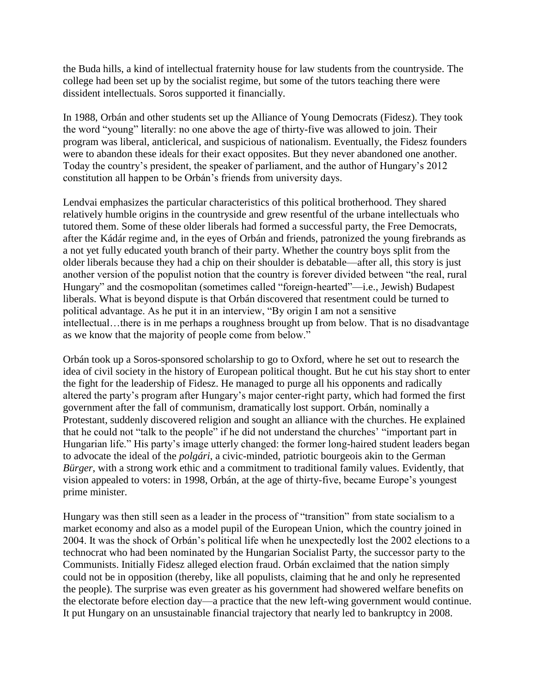the Buda hills, a kind of intellectual fraternity house for law students from the countryside. The college had been set up by the socialist regime, but some of the tutors teaching there were dissident intellectuals. Soros supported it financially.

In 1988, Orbán and other students set up the Alliance of Young Democrats (Fidesz). They took the word "young" literally: no one above the age of thirty-five was allowed to join. Their program was liberal, anticlerical, and suspicious of nationalism. Eventually, the Fidesz founders were to abandon these ideals for their exact opposites. But they never abandoned one another. Today the country's president, the speaker of parliament, and the author of Hungary's 2012 constitution all happen to be Orbán's friends from university days.

Lendvai emphasizes the particular characteristics of this political brotherhood. They shared relatively humble origins in the countryside and grew resentful of the urbane intellectuals who tutored them. Some of these older liberals had formed a successful party, the Free Democrats, after the Kádár regime and, in the eyes of Orbán and friends, patronized the young firebrands as a not yet fully educated youth branch of their party. Whether the country boys split from the older liberals because they had a chip on their shoulder is debatable—after all, this story is just another version of the populist notion that the country is forever divided between "the real, rural Hungary" and the cosmopolitan (sometimes called "foreign-hearted"—i.e., Jewish) Budapest liberals. What is beyond dispute is that Orbán discovered that resentment could be turned to political advantage. As he put it in an interview, "By origin I am not a sensitive intellectual…there is in me perhaps a roughness brought up from below. That is no disadvantage as we know that the majority of people come from below."

Orbán took up a Soros-sponsored scholarship to go to Oxford, where he set out to research the idea of civil society in the history of European political thought. But he cut his stay short to enter the fight for the leadership of Fidesz. He managed to purge all his opponents and radically altered the party's program after Hungary's major center-right party, which had formed the first government after the fall of communism, dramatically lost support. Orbán, nominally a Protestant, suddenly discovered religion and sought an alliance with the churches. He explained that he could not "talk to the people" if he did not understand the churches' "important part in Hungarian life." His party's image utterly changed: the former long-haired student leaders began to advocate the ideal of the *polgári*, a civic-minded, patriotic bourgeois akin to the German *Bürger*, with a strong work ethic and a commitment to traditional family values. Evidently, that vision appealed to voters: in 1998, Orbán, at the age of thirty-five, became Europe's youngest prime minister.

Hungary was then still seen as a leader in the process of "transition" from state socialism to a market economy and also as a model pupil of the European Union, which the country joined in 2004. It was the shock of Orbán's political life when he unexpectedly lost the 2002 elections to a technocrat who had been nominated by the Hungarian Socialist Party, the successor party to the Communists. Initially Fidesz alleged election fraud. Orbán exclaimed that the nation simply could not be in opposition (thereby, like all populists, claiming that he and only he represented the people). The surprise was even greater as his government had showered welfare benefits on the electorate before election day—a practice that the new left-wing government would continue. It put Hungary on an unsustainable financial trajectory that nearly led to bankruptcy in 2008.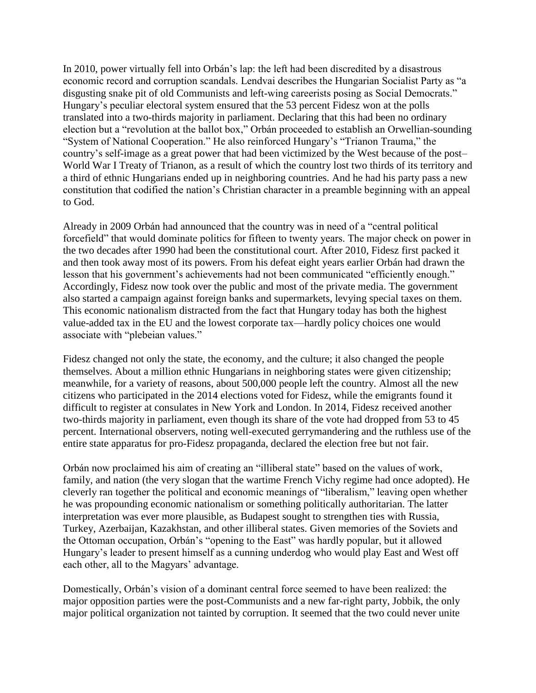In 2010, power virtually fell into Orbán's lap: the left had been discredited by a disastrous economic record and corruption scandals. Lendvai describes the Hungarian Socialist Party as "a disgusting snake pit of old Communists and left-wing careerists posing as Social Democrats." Hungary's peculiar electoral system ensured that the 53 percent Fidesz won at the polls translated into a two-thirds majority in parliament. Declaring that this had been no ordinary election but a "revolution at the ballot box," Orbán proceeded to establish an Orwellian-sounding "System of National Cooperation." He also reinforced Hungary's "Trianon Trauma," the country's self-image as a great power that had been victimized by the West because of the post– World War I Treaty of Trianon, as a result of which the country lost two thirds of its territory and a third of ethnic Hungarians ended up in neighboring countries. And he had his party pass a new constitution that codified the nation's Christian character in a preamble beginning with an appeal to God.

Already in 2009 Orbán had announced that the country was in need of a "central political forcefield" that would dominate politics for fifteen to twenty years. The major check on power in the two decades after 1990 had been the constitutional court. After 2010, Fidesz first packed it and then took away most of its powers. From his defeat eight years earlier Orbán had drawn the lesson that his government's achievements had not been communicated "efficiently enough." Accordingly, Fidesz now took over the public and most of the private media. The government also started a campaign against foreign banks and supermarkets, levying special taxes on them. This economic nationalism distracted from the fact that Hungary today has both the highest value-added tax in the EU and the lowest corporate tax—hardly policy choices one would associate with "plebeian values."

Fidesz changed not only the state, the economy, and the culture; it also changed the people themselves. About a million ethnic Hungarians in neighboring states were given citizenship; meanwhile, for a variety of reasons, about 500,000 people left the country. Almost all the new citizens who participated in the 2014 elections voted for Fidesz, while the emigrants found it difficult to register at consulates in New York and London. In 2014, Fidesz received another two-thirds majority in parliament, even though its share of the vote had dropped from 53 to 45 percent. International observers, noting well-executed gerrymandering and the ruthless use of the entire state apparatus for pro-Fidesz propaganda, declared the election free but not fair.

Orbán now proclaimed his aim of creating an "illiberal state" based on the values of work, family, and nation (the very slogan that the wartime French Vichy regime had once adopted). He cleverly ran together the political and economic meanings of "liberalism," leaving open whether he was propounding economic nationalism or something politically authoritarian. The latter interpretation was ever more plausible, as Budapest sought to strengthen ties with Russia, Turkey, Azerbaijan, Kazakhstan, and other illiberal states. Given memories of the Soviets and the Ottoman occupation, Orbán's "opening to the East" was hardly popular, but it allowed Hungary's leader to present himself as a cunning underdog who would play East and West off each other, all to the Magyars' advantage.

Domestically, Orbán's vision of a dominant central force seemed to have been realized: the major opposition parties were the post-Communists and a new far-right party, Jobbik, the only major political organization not tainted by corruption. It seemed that the two could never unite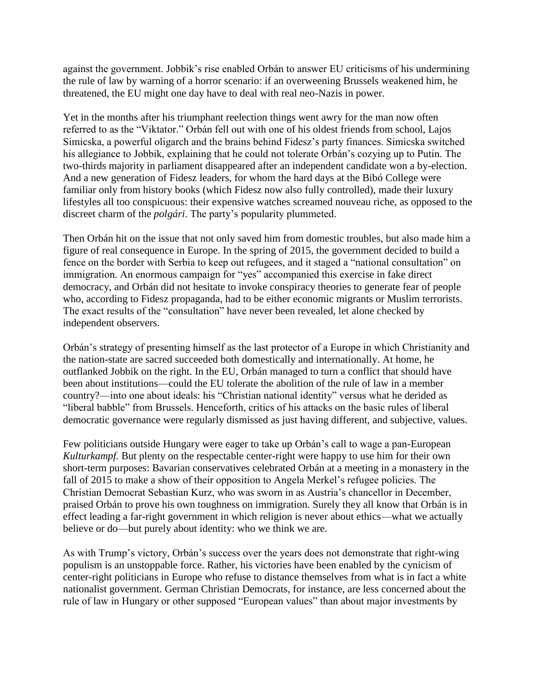against the government. Jobbik's rise enabled Orbán to answer EU criticisms of his undermining the rule of law by warning of a horror scenario: if an overweening Brussels weakened him, he threatened, the EU might one day have to deal with real neo-Nazis in power.

Yet in the months after his triumphant reelection things went awry for the man now often referred to as the "Viktator." Orbán fell out with one of his oldest friends from school, Lajos Simicska, a powerful oligarch and the brains behind Fidesz's party finances. Simicska switched his allegiance to Jobbik, explaining that he could not tolerate Orbán's cozying up to Putin. The two-thirds majority in parliament disappeared after an independent candidate won a by-election. And a new generation of Fidesz leaders, for whom the hard days at the Bibó College were familiar only from history books (which Fidesz now also fully controlled), made their luxury lifestyles all too conspicuous: their expensive watches screamed nouveau riche, as opposed to the discreet charm of the *polgári*. The party's popularity plummeted.

Then Orbán hit on the issue that not only saved him from domestic troubles, but also made him a figure of real consequence in Europe. In the spring of 2015, the government decided to build a fence on the border with Serbia to keep out refugees, and it staged a "national consultation" on immigration. An enormous campaign for "yes" accompanied this exercise in fake direct democracy, and Orbán did not hesitate to invoke conspiracy theories to generate fear of people who, according to Fidesz propaganda, had to be either economic migrants or Muslim terrorists. The exact results of the "consultation" have never been revealed, let alone checked by independent observers.

Orbán's strategy of presenting himself as the last protector of a Europe in which Christianity and the nation-state are sacred succeeded both domestically and internationally. At home, he outflanked Jobbik on the right. In the EU, Orbán managed to turn a conflict that should have been about institutions—could the EU tolerate the abolition of the rule of law in a member country?—into one about ideals: his "Christian national identity" versus what he derided as "liberal babble" from Brussels. Henceforth, critics of his attacks on the basic rules of liberal democratic governance were regularly dismissed as just having different, and subjective, values.

Few politicians outside Hungary were eager to take up Orbán's call to wage a pan-European *Kulturkampf.* But plenty on the respectable center-right were happy to use him for their own short-term purposes: Bavarian conservatives celebrated Orbán at a meeting in a monastery in the fall of 2015 to make a show of their opposition to Angela Merkel's refugee policies. The Christian Democrat Sebastian Kurz, who was sworn in as Austria's chancellor in December, praised Orbán to prove his own toughness on immigration. Surely they all know that Orbán is in effect leading a far-right government in which religion is never about ethics—what we actually believe or do—but purely about identity: who we think we are.

As with Trump's victory, Orbán's success over the years does not demonstrate that right-wing populism is an unstoppable force. Rather, his victories have been enabled by the cynicism of center-right politicians in Europe who refuse to distance themselves from what is in fact a white nationalist government. German Christian Democrats, for instance, are less concerned about the rule of law in Hungary or other supposed "European values" than about major investments by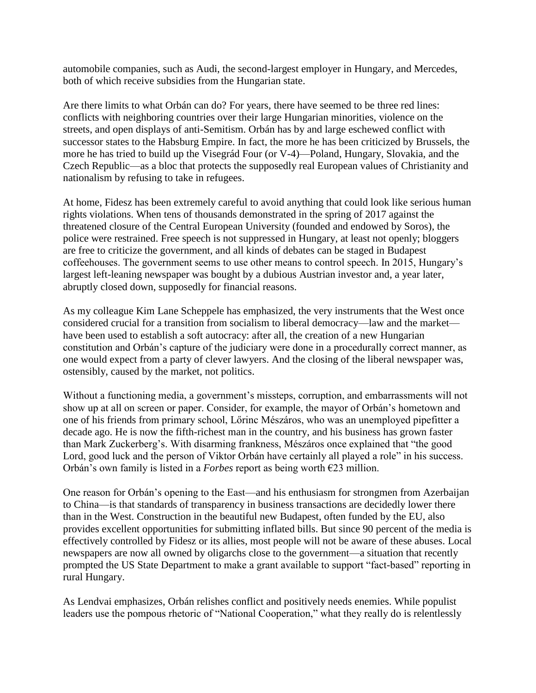automobile companies, such as Audi, the second-largest employer in Hungary, and Mercedes, both of which receive subsidies from the Hungarian state.

Are there limits to what Orbán can do? For years, there have seemed to be three red lines: conflicts with neighboring countries over their large Hungarian minorities, violence on the streets, and open displays of anti-Semitism. Orbán has by and large eschewed conflict with successor states to the Habsburg Empire. In fact, the more he has been criticized by Brussels, the more he has tried to build up the Visegrád Four (or V-4)—Poland, Hungary, Slovakia, and the Czech Republic—as a bloc that protects the supposedly real European values of Christianity and nationalism by refusing to take in refugees.

At home, Fidesz has been extremely careful to avoid anything that could look like serious human rights violations. When tens of thousands demonstrated in the spring of 2017 against the threatened closure of the Central European University (founded and endowed by Soros), the police were restrained. Free speech is not suppressed in Hungary, at least not openly; bloggers are free to criticize the government, and all kinds of debates can be staged in Budapest coffeehouses. The government seems to use other means to control speech. In 2015, Hungary's largest left-leaning newspaper was bought by a dubious Austrian investor and, a year later, abruptly closed down, supposedly for financial reasons.

As my colleague Kim Lane Scheppele has emphasized, the very instruments that the West once considered crucial for a transition from socialism to liberal democracy—law and the market have been used to establish a soft autocracy: after all, the creation of a new Hungarian constitution and Orbán's capture of the judiciary were done in a procedurally correct manner, as one would expect from a party of clever lawyers. And the closing of the liberal newspaper was, ostensibly, caused by the market, not politics.

Without a functioning media, a government's missteps, corruption, and embarrassments will not show up at all on screen or paper. Consider, for example, the mayor of Orbán's hometown and one of his friends from primary school, Lőrinc Mészáros, who was an unemployed pipefitter a decade ago. He is now the fifth-richest man in the country, and his business has grown faster than Mark Zuckerberg's. With disarming frankness, Mészáros once explained that "the good Lord, good luck and the person of Viktor Orbán have certainly all played a role" in his success. Orbán's own family is listed in a *Forbes* report as being worth €23 million.

One reason for Orbán's opening to the East—and his enthusiasm for strongmen from Azerbaijan to China—is that standards of transparency in business transactions are decidedly lower there than in the West. Construction in the beautiful new Budapest, often funded by the EU, also provides excellent opportunities for submitting inflated bills. But since 90 percent of the media is effectively controlled by Fidesz or its allies, most people will not be aware of these abuses. Local newspapers are now all owned by oligarchs close to the government—a situation that recently prompted the US State Department to make a grant available to support "fact-based" reporting in rural Hungary.

As Lendvai emphasizes, Orbán relishes conflict and positively needs enemies. While populist leaders use the pompous rhetoric of "National Cooperation," what they really do is relentlessly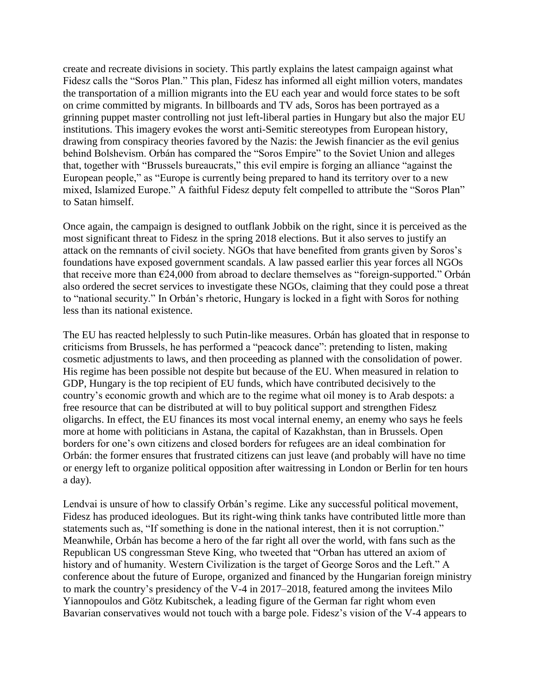create and recreate divisions in society. This partly explains the latest campaign against what Fidesz calls the "Soros Plan." This plan, Fidesz has informed all eight million voters, mandates the transportation of a million migrants into the EU each year and would force states to be soft on crime committed by migrants. In billboards and TV ads, Soros has been portrayed as a grinning puppet master controlling not just left-liberal parties in Hungary but also the major EU institutions. This imagery evokes the worst anti-Semitic stereotypes from European history, drawing from conspiracy theories favored by the Nazis: the Jewish financier as the evil genius behind Bolshevism. Orbán has compared the "Soros Empire" to the Soviet Union and alleges that, together with "Brussels bureaucrats," this evil empire is forging an alliance "against the European people," as "Europe is currently being prepared to hand its territory over to a new mixed, Islamized Europe." A faithful Fidesz deputy felt compelled to attribute the "Soros Plan" to Satan himself.

Once again, the campaign is designed to outflank Jobbik on the right, since it is perceived as the most significant threat to Fidesz in the spring 2018 elections. But it also serves to justify an attack on the remnants of civil society. NGOs that have benefited from grants given by Soros's foundations have exposed government scandals. A law passed earlier this year forces all NGOs that receive more than  $E24,000$  from abroad to declare themselves as "foreign-supported." Orbán also ordered the secret services to investigate these NGOs, claiming that they could pose a threat to "national security." In Orbán's rhetoric, Hungary is locked in a fight with Soros for nothing less than its national existence.

The EU has reacted helplessly to such Putin-like measures. Orbán has gloated that in response to criticisms from Brussels, he has performed a "peacock dance": pretending to listen, making cosmetic adjustments to laws, and then proceeding as planned with the consolidation of power. His regime has been possible not despite but because of the EU. When measured in relation to GDP, Hungary is the top recipient of EU funds, which have contributed decisively to the country's economic growth and which are to the regime what oil money is to Arab despots: a free resource that can be distributed at will to buy political support and strengthen Fidesz oligarchs. In effect, the EU finances its most vocal internal enemy, an enemy who says he feels more at home with politicians in Astana, the capital of Kazakhstan, than in Brussels. Open borders for one's own citizens and closed borders for refugees are an ideal combination for Orbán: the former ensures that frustrated citizens can just leave (and probably will have no time or energy left to organize political opposition after waitressing in London or Berlin for ten hours a day).

Lendvai is unsure of how to classify Orbán's regime. Like any successful political movement, Fidesz has produced ideologues. But its right-wing think tanks have contributed little more than statements such as, "If something is done in the national interest, then it is not corruption." Meanwhile, Orbán has become a hero of the far right all over the world, with fans such as the Republican US congressman Steve King, who tweeted that "Orban has uttered an axiom of history and of humanity. Western Civilization is the target of George Soros and the Left." A conference about the future of Europe, organized and financed by the Hungarian foreign ministry to mark the country's presidency of the V-4 in 2017–2018, featured among the invitees Milo Yiannopoulos and Götz Kubitschek, a leading figure of the German far right whom even Bavarian conservatives would not touch with a barge pole. Fidesz's vision of the V-4 appears to